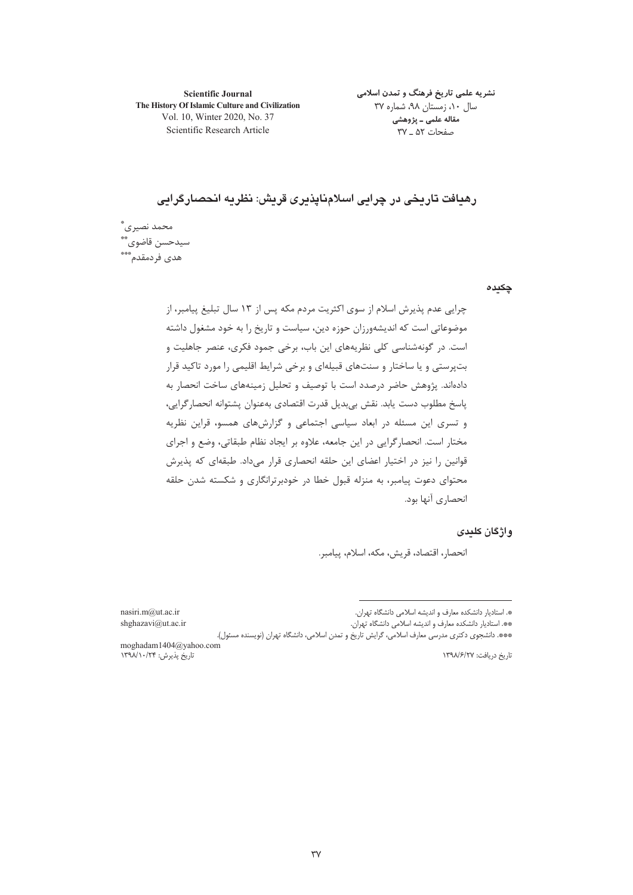**Scientific Journal** The History Of Islamic Culture and Civilization Vol. 10, Winter 2020, No. 37 Scientific Research Article

نشریه علمی تاریخ فرهنگ و تمدن اسلامی سال ۱۰، زمستان ۹۸، شماره ۳۷ مقاله علمي ـ پژوهشي صفحات ۵۲ \_ ۳۷

رهبافت تاریخی در چرابی اسلامنایذیری قریش: نظریه انحصارگرایی

محمد نصيري ؓ سيدحسن قاضوي \*\* هدى فردمقدم\*\*\*

چکیدہ

چرایی عدم پذیرش اسلام از سوی اکثریت مردم مکه پس از ۱۳ سال تبلیغ پیامبر، از موضوعاتی است که اندیشهورزان حوزه دین، سیاست و تاریخ را به خود مشغول داشته است. در گونهشناسی کلی نظریههای این باب، برخی جمود فکری، عنصر جاهلیت و بتپرستی و یا ساختار و سنتهای قبیلهای و برخی شرایط اقلیمی را مورد تاکید قرار دادهاند. پژوهش حاضر درصدد است با توصیف و تحلیل زمینههای ساخت انحصار به پاسخ مطلوب دست يابد. نقش بي بديل قدرت اقتصادي بهعنوان پشتوانه انحصار گرايي، و تسری این مسئله در ابعاد سیاسی اجتماعی و گزارشهای همسو، قراین نظریه مختار است. انحصار گرایی در این جامعه، علاوه بر ایجاد نظام طبقاتی، وضع و اجرای قوانین را نیز در اختیار اعضای این حلقه انحصاری قرار میداد. طبقهای که پذیرش محتوای دعوت پیامبر، به منزله قبول خطا در خودبرترانگاری و شکسته شدن حلقه انحصاري آنها بود.

# و اژ گان کلیدی

انحصار، اقتصاد، قريش، مكه، اسلام، ييامبر.

\*. استادیار دانشکده معارف و اندیشه اسلامی دانشگاه تهران. \*\*. استادیار دانشکده معارف و اندیشه اسلامی دانشگاه تهران.

nasiri.m@ut.ac.ir shghazavi@ut.ac.ir

\*\*\*. دانشجوی دکتری مدرسی معارف اسلامی، گرایش تاریخ و تمدن اسلامی، دانشگاه تهران (نویسنده مسئول). moghadam1404@yahoo.com

تاریخ پذیرش: ۱۳۹۸/۱۰/۲۴

تاريخ دريافت: ١٣٩٨/۶/٢٧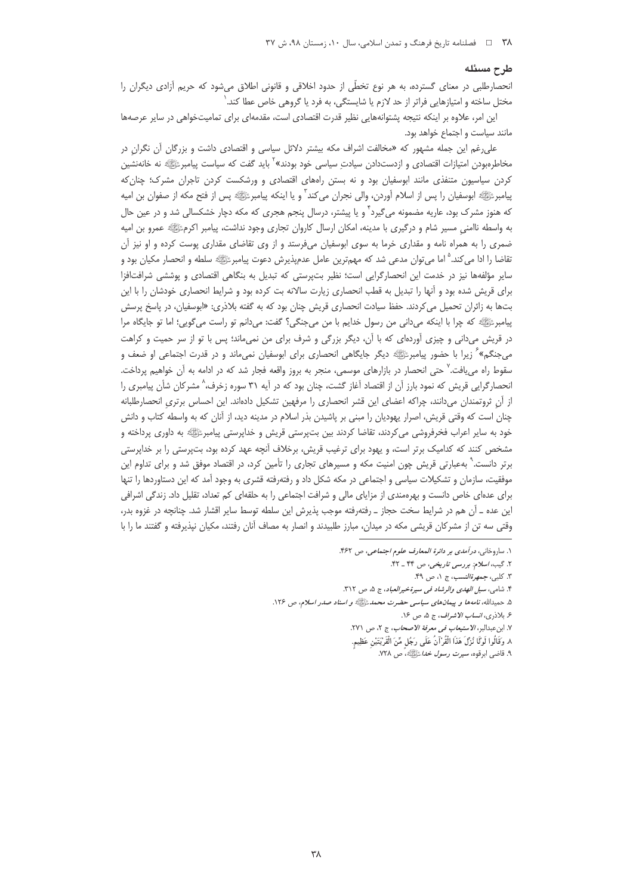#### طرح مسئله

انحصارطلبی در معنای گسترده، به هر نوع تخطّی از حدود اخلاقی و قانونی اطلاق میشود که حریم آزادی دیگران را مختل ساخته و امتیازهایی فراتر از حد لازم یا شایستگی، به فرد یا گروهی خاص عطا کند. <sup>(</sup>

این امر، علاوه بر اینکه نتیجه پشتوانههایی نظیر قدرت اقتصادی است، مقدمهای برای تمامیتخواهی در سایر عرصهها مانند سیاست و اجتماع خواهد بود.

علی رغم این جمله مشهور که «مخالفت اشراف مکه بیشتر دلائل سیاسی و اقتصادی داشت و بزرگان آن نگران در مخاطرهبودن امتیازات اقتصادی و ازدستدادن سیادتِ سیاسی خود بودند»<sup>۲</sup> باید گفت که سیاست پیامبرﷺ نه خانهنشین کردن سیاسیون متنفذی مانند ابوسفیان بود و نه بستن راههای اقتصادی و ورشکست کردن تاجران مشرک؛ چنان که پیامبرﷺ ابوسفیان را پس از اسلام آوردن، والی نجران می¢ند ّ و یا اینکه پیامبرﷺ پس از فتح مکه از صفوان بن امیه که هنوز مشرک بود، عاریه مضمونه میگیرد<sup>۲</sup> و یا پیشتر، درسال پنجم هجری که مکه دچار خشکسالی شد و در عین حال به واسطه ناامنی مسیر شام و درگیری با مدینه، امکان ارسال کاروان تجاری وجود نداشت، پیامبر اکرمﷺ عمرو بن امیه ضمری را به همراه نامه و مقداری خرما به سوی ابوسفیان میفرستد و از وی تقاضای مقداری پوست کرده و او نیز آن تقاضا را ادا می کند.<sup>۵</sup> اما می¤وان مدعی شد که مهم¤رین عامل عدمپذیرش دعوت پیامبرﷺ سلطه و انحصار مکیان بود و سایر مؤلفهها نیز در خدمت این انحصارگرایی است؛ نظیر بتپرستی که تبدیل به بنگاهی اقتصادی و پوششی شرافتافزا برای قریش شده بود و آنها را تبدیل به قطب انحصاری زیارت سالانه بت کرده بود و شرایط انحصاری خودشان را با این بتها به زائران تحمیل می کردند. حفظ سیادت انحصاری قریش چنان بود که به گفته بلاذری: «ابوسفیان، در پاسخ پرسش پیامبرﷺ که چرا با اینکه میدانی من رسول خدایم با من میجنگی؟ گفت: میدانم تو راست میگویی؛ اما تو جایگاه مرا در قریش میدانی و چیزی آوردهای که با آن، دیگر بزرگی و شرف برای من نمیماند؛ پس با تو از سر حمیت و کراهت میجنگم» ٔ زیرا با حضور پیامبرﷺ دیگر جایگاهی انحصاری برای ابوسفیان نمیماند و در قدرت اجتماعی او ضعف و سقوط راه مییافت.<sup>۷</sup> حتی انحصار در بازارهای موسمی، منجر به بروز واقعه فجار شد که در ادامه به آن خواهیم پرداخت. انحصارگرایی قریش که نمود بارز آن از اقتصاد آغاز گشت، چنان بود که در آیه ۳۱ سوره زخرف،^ مشرکان شأن پیامبری را از آن ثروتمندان می(دانند، چراکه اعضای این قشر انحصاری را مرفهین تشکیل دادهاند. این احساس برتری انحصارطلبانه چنان است که وقتی قریش، اصرار یهودیان را مبنی بر پاشیدن بذر اسلام در مدینه دید، از آنان که به واسطه کتاب و دانش خود به سایر اعراب فخرفروشی میکردند، تقاضا کردند بین بتپرستی قریش و خداپرستی پیامبرﷺ به داوری پرداخته و مشخص کنند که کدامیک برتر است، و یهود برای ترغیب قریش، برخلاف آنچه عهد کرده بود، بتپرستی را بر خداپرستی برتر دانست.<sup>۹</sup> بهعبارتی قریش چون امنیت مکه و مسیرهای تجاری را تأمین کرد، در اقتصاد موفق شد و برای تداوم این موفقیت، سازمان و تشکیلات سیاسی و اجتماعی در مکه شکل داد و رفتهرفته قشری به وجود آمد که این دستاوردها را تنها برای عدمای خاص دانست و بهرهمندی از مزایای مالی و شرافت اجتماعی را به حلقهای کم تعداد، تقلیل داد. زندگی اشرافی این عده ـ آن هم در شرایط سخت حجاز ـ رفتهرفته موجب پذیرش این سلطه توسط سایر اقشار شد. چنانچه در غزوه بدر، وقتی سه تن از مشرکان قریشی مکه در میدان، مبارز طلبیدند و انصار به مصاف أنان رفتند، مکیان نپذیرفته و گفتند ما را با

١. ساروخاني، درآمدي بر دائرة المعارف علوم اجتماعي، ص ۴۶۲.

٢. گیب، اسلام: بررسی تاریخی، ص ۴۴ \_ ۴۲.

٣. كلبي، جمهرة النسب، ج ١، ص ۴۹.

۴. شامی، *سبل الهدی والرشاد فی سیرةخیرالعباد*، ج ۵، ص ۳۱۲.

۵. حمیدالله، نامهها و پیمانهای سیاسی حضرت محمدﷺ و اسناد صدر اسلام، ص ۱۲۶.

۶. بلاذري، *انساب الاشراف*، ج ۵، ص ۱۶.

٧. ابن عبدالبر، الاستي*عاب في معرفة الاصحاب*، ج ٢، ص ٢٧١.

٨. وَقَالُوا لَوْلًا نُزِّلَ هَذَا الْقُرْآنُ عَلَى رَجُلٍ مِّنَ الْقَرْيَتَيْنِ عَظِيمٍ.

۹. قاضی ابرقوه، *سیرت رسول خدا ﷺ، ص ۲*۲۸.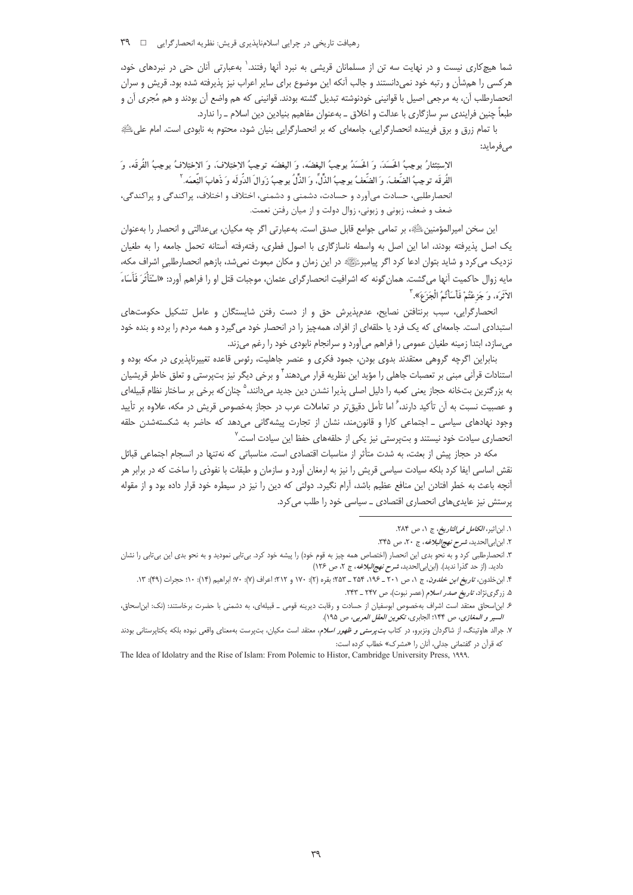رهیافت تاریخی در چرایی اسلامناپذیری قریش: نظریه انحصارگرایی □ ٣٩

شما هیچکاری نیست و در نهایت سه تن از مسلمانان قریشی به نبرد آنها رفتند.` بهعبارتی آنان حتی در نبردهای خود، هرکسی را همشأن و رتبه خود نمیدانستند و جالب آنکه این موضوع برای سایر اعراب نیز پذیرفته شده بود. قریش و سران انحصارطلب آن، به مرجعي اصيل با قوانيني خودنوشته تبديل گشته بودند. قوانيني كه هم واضع آن بودند و هم مُجرى آن و طبعاً چنین فرایندی سر سازگاری با عدالت و اخلاق ــ بهعنوان مفاهیم بنیادین دین اسلام ــ را ندارد.

با تمام زرق و برق فریبنده انحصارگرایی، جامعهای که بر انحصارگرایی بنیان شود، محتوم به نابودی است. امام علیﷺ مے فرماید:

الإستِئثارُ يوجِبُ الحَسَدَ، وَ الحَسَدُ يوجِبُ البغضَهِ، وَ البغضَه توجِبُ الإختِلافَ، وَ الإختِلافُ يوجِبُ الفُرقَه، وَ الفُرقَه توجِبُ الضِّغفَ، وَ الضِّغفُ يوجِبُ الذِّلِّ، وَ الذِّلِّ يوجِبُ زَوالَ الدِّولَه وَ ذَهابَ النِّعمَه ل انحصارطلبي، حسادت مي آورد و حسادت، دشمني و دشمني، اختلاف و اختلاف، پراکندگي و پراکندگي، ضعف و ضعف، زبونی و زبونی، زوال دولت و از میان رفتن نعمت.

این سخن امپرالمؤمنین ﷺ، بر تمامی جوامع قابل صدق است. بهعبارتی اگر چه مکیان، بی عدالتی و انحصار را بهعنوان یک اصل پذیرفته بودند، اما این اصل به واسطه ناسازگاری با اصول فطری، رفتهرفته آستانه تحمل جامعه را به طغیان نزدیک می کرد و شاید بتوان ادعا کرد اگر پیامبرﷺ در این زمان و مکان مبعوث نمیشد، بازهم انحصارطلبی اشراف مکه، مايه زوال حاكميت آنها مي گشت. همان گونه كه اشرافيت انحصار گراي عثمان، موجبات قتل او را فراهم آورد: «اسْتَأْثَرَ فَأَسَاءَ الآثَرَه، وَ جَزِعْتُمْ فَأَسَأْتُمُ الْجَزَعَ». ۚ

انحصارگرایی، سبب برنتافتن نصایح، عدمپذیرش حق و از دست رفتن شایستگان و عامل تشکیل حکومتهای استبدادی است. جامعهای که یک فرد یا حلقهای از افراد، همهچیز را در انحصار خود میگیرد و همه مردم را برده و بنده خود می سازد، ابتدا زمینه طغیان عمومی را فراهم می آورد و سرانجام نابودی خود را رغم می زند.

بنابراین اگرچه گروهی معتقدند بدوی بودن، جمود فکری و عنصر جاهلیت، رئوس قاعده تغییرناپذیری در مکه بوده و استنادات قرآنی مبنی بر تعصبات جاهلی را مؤید این نظریه قرار میدهند<sup>۲</sup> و برخی دیگر نیز بتپرستی و تعلق خاطر قریشیان به بزرگترین بتخانه حجاز یعنی کعبه را دلیل اصلی پذیرا نشدن دین جدید می،دانند،<sup>۵</sup> چنان که برخی بر ساختار نظام قبیلهای و عصبیت نسبت به آن تأکید دارند، <sup>۶</sup> اما تأمل دقیق تر در تعاملات عرب در حجاز بهخصوص قریش در مکه، علاوه بر تأیید وجود نهادهای سیاسی ـ اجتماعی کارا و قانون مند، نشان از تجارت پیشهگانی میدهد که حاضر به شکستهشدن حلقه انحصاری سیادت خود نیستند و بتپرستی نیز یکی از حلقههای حفظ این سیادت است.<sup>۷</sup>

مکه در حجاز پیش از بعثت، به شدت متأثر از مناسبات اقتصادی است. مناسباتی که نهتنها در انسجام اجتماعی قبائل نقش اساسی ایفا کرد بلکه سیادت سیاسی قریش را نیز به ارمغان آورد و سازمان و طبقات با نفوذی را ساخت که در برابر هر آنچه باعث به خطر افتادن این منافع عظیم باشد، آرام نگیرد. دولتی که دین را نیز در سیطره خود قرار داده بود و از مقوله پرستش نیز عایدی های انحصاری اقتصادی \_ سیاسی خود را طلب می کرد.

١. ابن|ثير، *الكامل في التاريخ*، ج ١، ص ٢٨۴.

٢. ابن ابی الحدید، شرح تهج البلاغه، ج ٢٠، ص ٣۴۵.

۳. انحصارطلبی کرد و به نحو بدی این انحصار (اختصاص همه چیز به قوم خود) را پیشه خود کرد. بی¤ابی نمودید و به نحو بدی این بی¤ابی را نشان دادید. (از حد گذرا ندید). (ابن ابی الحدید، *شرح نهج البلاغه*، ج ٢، ص ١٢۶)

۴. ابن خلدون*، تاریخ ابن خلدون*، ج ۱، ص ۲۰۱ ـ ۲۵۴، ۲۵۴ ـ ۲۵۳: بقره (۲): ۱۷۰ و ۲۱۲: اعراف (۷): ۷۰: ابراهیم (۱۴): ۱۰: حجرات (۴۹): ۱۳.

۵. زرگرینژاد، ت*اریخ صدر اسلام* (عصر نبوت)، ص ۲۴۷ \_ ۲۴۳.

۶ـ ابن|سحاق معتقد است اشراف بهخصوص ابوسفيان از حسادت و رقابت ديرينه قومى \_ قبيلهاى، به دشمنى با حضرت برخاستند: (نك: ابن|سحاق، السير والمغازى، ص ١۴۴؛ الجابرى، تكوين العقل العربى، ص ١٩٥).

۷. جرالد هاوتینگ، از شاگردان ونزبرو، در کتاب *بت پرستی و ظهور اسلام*، معتقد است مکیان، بتپرست بهمعنای واقعی نبوده بلکه یکتاپرستانی بودند که قرآن در گفتمانی جدلی، آنان را «مشرک» خطاب کرده است:

The Idea of Idolatry and the Rise of Islam: From Polemic to Histor, Cambridge University Press, 1999.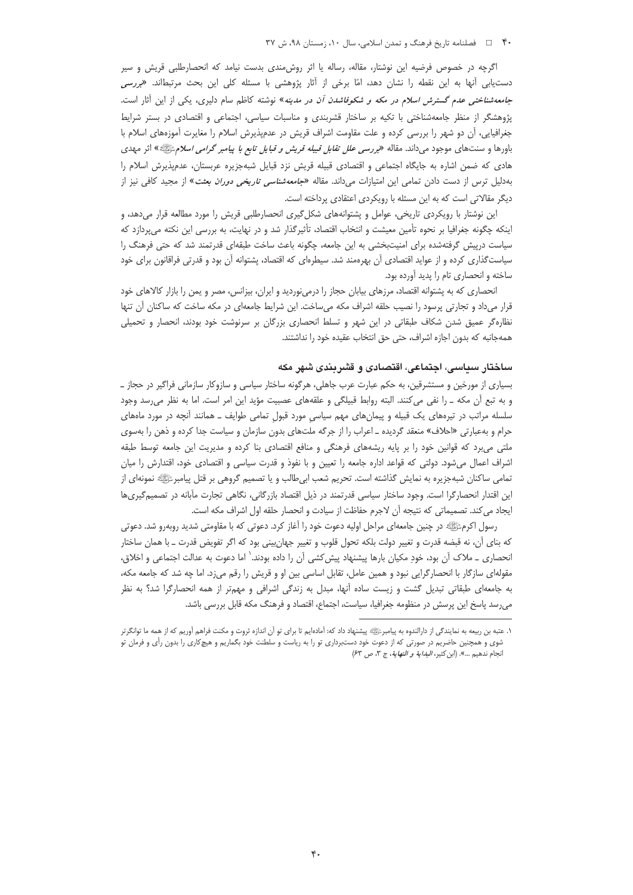#### ۴۰ [ = فصلنامه تاريخ فرهنگ و تمدن اسلامي، سال ١٠، زمستان ٩٨، ش ٣٧

اگرچه در خصوص فرضیه این نوشتار، مقاله، رساله یا اثر روش،مندی بدست نیامد که انحصارطلبی قریش و سیر دستیابی آنها به این نقطه را نشان دهد، امّا برخی از آثار پژوهشی با مسئله کلی این بحث مرتبطاند. *«بررسی جامعه شناختی عدم گسترش اسلام در مکه و شکوفاشدن آن در مدینه*» نوشته کاظم سام دلیری، یکی از این آثار است. پژوهشگر از منظر جامعهشناختی با تکیه بر ساختار قشربندی و مناسبات سیاسی، اجتماعی و اقتصادی در بستر شرایط جغرافیایی، آن دو شهر را بررسی کرده و علت مقاومت اشراف قریش در عدمپذیرش اسلام را مغایرت آموزههای اسلام با باورها و سنتهای موجود میداند. مقاله *«بررسی علل تقابل قبیله قریش و قبایل تابع با پیامبر گرامی اسلام*ﷺ» اثر مهدی هادی که ضمن اشاره به جایگاه اجتماعی و اقتصادی قبیله قریش نزد قبایل شبهجزیره عربستان، عدمپذیرش اسلام را بهدلیل ترس از دست دادن تمامی این امتیازات می،داند. مقاله *«جامعهشناسی تاریخی دوران بعثت*» از مجید کافی نیز از دیگر مقالاتی است که به این مسئله با رویکردی اعتقادی پرداخته است.

این نوشتار با رویکردی تاریخی، عوامل و پشتوانههای شکل گیری انحصارطلبی قریش را مورد مطالعه قرار میدهد، و اینکه چگونه جغرافیا بر نحوه تأمین معیشت و انتخاب اقتصاد، تأثیرگذار شد و در نهایت، به بررسی این نکته می پردازد که سیاست درپیش گرفتهشده برای امنیتبخشی به این جامعه، چگونه باعث ساخت طبقهای قدرتمند شد که حتی فرهنگ را سیاستگذاری کرده و از عواید اقتصادی آن بهرهمند شد. سیطرهای که اقتصاد، پشتوانه آن بود و قدرتی فراقانون برای خود ساخته و انحصاری تام را پدید آورده بود.

انحصاری که به پشتوانه اقتصاد، مرزهای بیابان حجاز را درمی;نوردید و ایران، بیزانس، مصر و یمن را بازار کالاهای خود قرار میداد و تجارتی پرسود را نصیب حلقه اشراف مکه میساخت. این شرایط جامعهای در مکه ساخت که ساکنان آن تنها نظارهگر عمیق شدن شکاف طبقاتی در این شهر و تسلط انحصاری بزرگان بر سرنوشت خود بودند، انحصار و تحمیلی همهجانبه كه بدون اجازه اشراف، حتى حق انتخاب عقيده خود را نداشتند.

### ساختار سياسي، اچتماعي، اقتصادي و قشر پندي شهر مکه

بسیاری از مورخین و مستشرقین، به حکم عبارت عرب جاهلی، هرگونه ساختار سیاسی و سازوکار سازمانی فراگیر در حجاز ــ و به تبع أن مكه \_ را نفي مي كنند. البته روابط قبيلگي و علقههاي عصبيت مؤيد اين امر است. اما به نظر مي رسد وجود سلسله مراتب در تیرههای یک قبیله و پیمانهای مهم سیاسیِ مورد قبولِ تمامی طوایف ــ همانند آنچه در مورد ماههای حرام و بهعبارتی «احلاف» منعقد گردیده ـ اعراب را از جرگه ملتهای بدون سازمان و سیاست جدا کرده و ذهن را بهسوی ملتی می برد که قوانین خود را بر پایه ریشههای فرهنگی و منافع اقتصادی بنا کرده و مدیریت این جامعه توسط طبقه اشراف اعمال میشود. دولتی که قواعد اداره جامعه را تعیین و با نفوذ و قدرت سیاسی و اقتصادی خود، اقتدارش را میان تمامی ساکنان شبهجزیره به نمایش گذاشته است. تحریم شعب ابیطالب و یا تصمیم گروهی بر قتل پیامبرﷺ نمونهای از این اقتدار انحصارگرا است. وجود ساختار سیاسی قدرتمند در ذیل اقتصاد بازرگانی، نگاهی تجارت مآبانه در تصمیمگیریها ايجاد مي كند. تصميماتي كه نتيجه آن لاجرم حفاظت از سيادت و انحصار حلقه اول اشراف مكه است.

رسول اکرمﷺ در چنین جامعهای مراحل اولیه دعوت خود را آغاز کرد. دعوتی که با مقاومتی شدید روبهرو شد. دعوتی که بنای اُن، نه قبضه قدرت و تغییر دولت بلکه تحول قلوب و تغییر جهان،پینی بود که اگر تفویض قدرت ــ با همان ساختار انحصاری ــ ملاک آن بود، خودِ مکیان بارها پیشنهاد پیش کشی آن را داده بودند.` اما دعوت به عدالت اجتماعی و اخلاق، مقوله|ی سازگار با انحصارگرایی نبود و همین عامل، تقابل اساسی بین او و قریش را رقم میزد. اما چه شد که جامعه مکه، به جامعهای طبقاتی تبدیل گشت و زیست ساده آنها، مبدل به زندگی اشرافی و مهمتر از همه انحصارگرا شد؟ به نظر میرسد پاسخ این پرسش در منظومه جغرافیا، سیاست، اجتماع، اقتصاد و فرهنگ مکه قابل بررسی باشد.

۱. عتبه بن ربیعه به نمایندگی از دارالندوه به پیامبرﷺ پیشنهاد داد که: آمادهایم تا برای تو آن اندازه ثروت و مکنت فراهم آوریم که از همه ما توانگرتر شوی و همچنین حاضریم در صورتی که از دعوت خود دستبرداری تو را به ریاست و سلطنت خود بگماریم و هیچکاری را بدون رأی و فرمان تو انجام ندهيم ...». (ابن كثير، *البداية و النهاية*، ج ٣، ص ٤٣)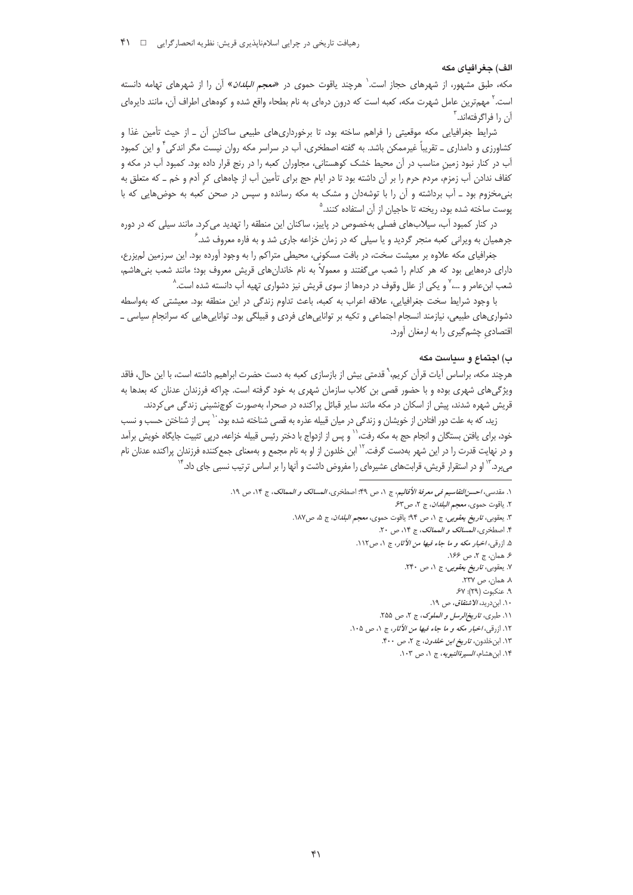#### الف) حغر افياي مكه

مکه، طبق مشهور، از شهرهای حجاز است.<sup>۱</sup> هرچند یاقوت حموی در *«معجم البلدان*» اُن را از شهرهای تهامه دانسته است.<sup>۲</sup> مهمترین عامل شهرت مکه، کعبه است که درون درمای به نام بطحاء واقع شده و کومهای اطراف آن، مانند دایرمای آن را فراگرفتهاند.<sup>۳</sup>

شرایط جغرافیایی مکه موقعیتی را فراهم ساخته بود، تا برخورداریهای طبیعی ساکنانِ آن ـ از حیث تأمین غذا و کشاورزی و دامداری ــ تقریباً غیرممکن باشد. به گفته اصطخری، آب در سراسر مکه روان نیست مگر اندکی ٔ و این کمبود آب در کنار نبود زمین مناسب در آن محیط خشک کوهستانی، مجاوران کعبه را در رنج قرار داده بود. کمبود آب در مکه و کفاف ندادن آب زمزم، مردم حرم را بر آن داشته بود تا در ایام حج برای تأمین آب از چاههای کر آدم و خم ــ که متعلق به بنی مخزوم بود \_ آب برداشته و آن را با توشهدان و مشک به مکه رسانده و سپس در صحن کعبه به حوضهایی که با پوست ساخته شده بود، ریخته تا حاجیان از آن استفاده کنند.<sup>۵</sup>

در کنار کمبود آب، سیلابهای فصلی بهخصوص در پاییز، ساکنان این منطقه را تهدید میکرد. مانند سیلی که در دوره جرهمیان به ویرانی کعبه منجر گردید و یا سیلی که در زمان خزاعه جاری شد و به فاره معروف شد. ً

جغرافیای مکه علاوه بر معیشت سخت، در بافت مسکونی، محیطی متراکم را به وجود آورده بود. این سرزمین لم یزرع، دارای درههایی بود که هر کدام را شعب میگفتند و معمولاً به نام خاندانهای قریش معروف بود؛ مانند شعب بنیهاشم، شعب ابنءامر و …، ٌ و یکی از علل وقوف در درمها از سوی قریش نیز دشواری تهیه آب دانسته شده است. ٛ

با وجود شرايط سخت جغرافيايي، علاقه اعراب به كعبه، باعث تداوم زندگي در اين منطقه بود. معيشتي كه بهواسطه دشواریهای طبیعی، نیازمند انسجام اجتماعی و تکیه بر تواناییهای فردی و قبیلگی بود. تواناییهایی که سرانجام سیاسی ـ اقتصادي چشمگيري را به ارمغان آورد.

### ب) اجتماع و سياست مكه

هرچند مکه، براساس آیات قرآن کریم،` قدمتی بیش از بازسازی کعبه به دست حضرت ابراهیم داشته است، با این حال، فاقد ویژگے های شهری بوده و با حضور قصے بن کلاب سازمان شهری به خود گرفته است. چراکه فرزندان عدنان که بعدها به قریش شهره شدند، پیش از اسکان در مکه مانند سایر قبائل پراکنده در صحرا، بهصورت کوچنشینی زندگی می کردند.

زید، که به علت دور افتادن از خویشان و زندگی در میان قبیله عذره به قصی شناخته شده بود، `` پس از شناختن حسب و نسب خود، برای یافتن بستگان و انجام حج به مکه رفت،'` و پس از ازدواج با دختر رئیس قبیله خزاعه، درپی تثبیت جایگاه خویش برآمد و در نهایت قدرت را در این شهر بهدست گرفت.<sup>۱۲</sup> ابن خلدون از او به نام مجمع و بهمعنای جمع کننده فرزندان پراکنده عدنان نام میبرد. <sup>۱۲</sup> او در استقرار قریش، قرابتهای عشیرهای را مفروض داشت و آنها را بر اساس ترتیب نسبی جای داد.<sup>'</sup>

١. مقدسي، احسن التقاسيم في معرفة الأقاليم، ج ١، ص ٤٩: اصطخرى، المسالك و الممالك، ج ١٤، ص ١٩.

- ٢. ياقوت حموى، معجم *البلدان*، ج ٢، ص۶٣.
- ٣. يعقوبي، *تاريخ يعقوبي*، ج ١، ص ٩۴؛ ياقوت حموي، *معجم البلدان*، ج ۵، ص١٨٧.
	- ۴. اصطخري، *المسالک و الممالک*، ج ۱۴، ص ۲۰.
	- ۵. ازرقبی، *اخبار مکه و ما جاء فیها من الأثار*، ج ۱، ص۱۱۲.
		- ۶. همان، ج ۲، ص ۱۶۶.
		- ۷. یعقوبی، *تاریخ یعقوبی*، ج ۱، ص ۲۴۰.
			- ۸. همان، ص ۲۳۷.
			- ۹. عنكبوت (٢٩): ۶۷. ۱۰. ابن د<sub>ر</sub>ید، *الاشتقاق*، ص ۱۹.
		- ١١. طبرى، تاريخ الرسل و الملوك، ج ٢، ص ٢٥٥.
	- ١٢. ازرقي، *اخبار مكه و ما جاء فيها من الآثار*، ج ١، ص ١٠٥.
		- ١٣. ابن خلدون، *تاريخ ابن خلدون*، ج ٢، ص ۴۰۰.

١۴. ابن هشام، *السيرةالنبويه*، ج ١، ص ١٠٣.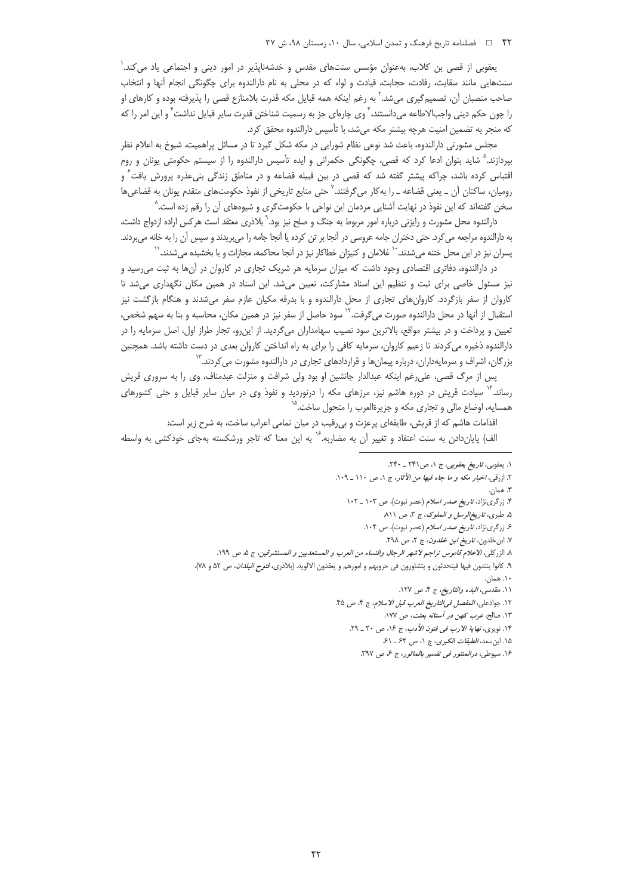#### ۴۲ = فصلنامه تاريخ فرهنگ و تمدن اسلامي، سال ١٠، زمستان ٩٨، ش ٣٧

یعقوبی از قصی بن کلاب، بهعنوان مؤسس سنتهای مقدس و خدشهناپذیر در امور دینی و اجتماعی یاد می کند.` سنتهایی مانند سقایت، رفادت، حجابت، قیادت و لواء که در محلی به نام دارالندوه برای چگونگی انجام آنها و انتخاب صاحب منصبان آن، تصمیمگیری میشد.<sup>۲</sup> به رغم اینکه همه قبایل مکه قدرت بلامنازع قصی را پذیرفته بوده و کارهای او را چون حکم دینی واجبالاطاعه میدانستند، <sup>۳</sup>وی چارهای جز به رسمیت شناختن قدرت سایر قبایل نداشت <sup>۳</sup> و این امر را که كه منجر به تضمين امنيت هرچه بيشتر مكه مى شد، با تأسيس دارالندوه محقق كرد.

مجلس مشورتی دارالندوه، باعث شد نوعی نظام شورایی در مکه شکل گیرد تا در مسائل پراهمیت، شیوخ به اعلام نظر بپردازند.<sup>۵</sup> شاید بتوان ادعا کرد که قصی، چگونگی حکمرانی و ایده تأسیس دارالندوه را از سیستم حکومتی یونان و روم اقتباس کرده باشد، چراکه پیشتر گفته شد که قصی در بین قبیله قضاعه و در مناطق زندگی بنیءذره پرورش یافت<sup>۲</sup> و رومیان، ساکنان آن ـ یعنی قضاعه ـ را بهکار میگرفتند.<sup>۷</sup> حتی منابع تاریخی از نفوذ حکومتهای متقدم یونان به قضاعیها سخن گفتهاند که این نفوذ در نهایت آشنایی مردمان این نواحی با حکومتگری و شیوههای آن را رقم زده است. <sup>^</sup>

دارالندوه محل مشورت و رایزنی درباره امور مربوط به جنگ و صلح نیز بود.<sup>۹</sup> بلاذری معتقد است هرکس اراده ازدواج داشت، به دارالندوه مراجعه می کرد. حتی دختران جامه عروسی در آنجا بر تن کرده یا آنجا جامه را میبریدند و سپس آن را به خانه میبردند. پسران نیز در این محل ختنه میشدند. `` غلامان و کنیزان خطاکار نیز در آنجا محاکمه، مجازات و یا بخشیده میشدند.``

در دارالندوه، دفاتری اقتصادی وجود داشت که میزان سرمایه هر شریک تجاری در کاروان در آنها به ثبت میرسید و نیز مسئول خاصی برای ثبت و تنظیم این اسناد مشارکت، تعیین میشد. این اسناد در همین مکان نگهداری میشد تا کاروان از سفر بازگردد. کاروان های تجاری از محل دارالندوه و با بدرقه مکیان عازم سفر می شدند و هنگام بازگشت نیز استقبال از آنها در محل دارالندوه صورت می¢رفت.<sup>۱۲</sup> سود حاصل از سفر نیز در همین مکان، محاسبه و بنا به سهم شخص، تعیین و پرداخت و در بیشتر مواقع، بالاترین سود نصیب سهامداران میگردید. از اینرو، تجار طراز اول، اصل سرمایه را در دارالندوه ذخیره می کردند تا زعیم کاروان، سرمایه کافی را برای به راه انداختن کاروان بعدی در دست داشته باشد. همچنین بزرگان، اشراف و سرمایهداران، درباره پیمانها و قراردادهای تجاری در دارالندوه مشورت م*ی ک*ردند.<sup>۱۳</sup>

پس از مرگ قصی، علی رغم اینکه عبدالدار جانشین او بود ولی شرافت و منزلت عبدمناف، وی را به سروری قریش رساند.<sup>۱۴</sup> سیادت قریش در دوره هاشم نیز، مرزهای مکه را درنوردید و نفوذ وی در میان سایر قبایل و حتی کشورهای همسایه، اوضاع مالی و تجاری مکه و جزیرةالعرب را متحول ساخت.<sup>۵</sup>

اقدامات هاشم كه از قریش، طایفهای پرعزت و بی رقیب در میان تمامی اعراب ساخت، به شرح زیر است:

الف) پایاندادن به سنت اعتفاد و تغییر آن به مضاربه.<sup>۷۰</sup> به این معنا که تاجر ورشکسته بهجای خودکشی به واسطه

٣. همان.

١. يعقوبي، ت*اريخ يعقوبي*، ج ١، ص٢٣١ ـ ٢٣٠.

۲. ازرقبی، *اخبار مکه و ما جاء فیها من الآثار*، ج ۱، ص ۱۱۰ \_ ۱۰۹.

۴. زرگرینژاد، ت*اریخ صدر اسلام* (عصر نبوت)، ص ۱۰۳ \_ ۱۰۲

۵. طبری، ت*اریخ الرسل و الملوک*، ج ۳، ص ۸۱۱.

۶. زرگرینژاد، ت*اریخ صدر اسلام* (عصر نبوت)، ص ۱۰۴.

٧. ابن خلدون، ت*اريخ ابن خلدون*، ج ٢، ص ٢٩٨.

٨. الزركلي، الاعلام قاموس تراجم لاشهر الرجال والنساء من العرب و المستعدبين و المستشرقين، ج ٥، ص ١٩٩.

۹. كانوا ينتدون فيها فيتحدثون و يتشاورون في حروبهم و امورهم و يعقدون الالويه. (بلاذري*، فتوح البلدان*، ص ۵۲ و ۷۸).

۰۱. همان.

۰۱۱. مقدسی، *البدء والتاریخ*، ج ۴، ص ۱۲۷.

١٢. جوادعلى، *المفصل فى التاريخ العرب قبل الاسلام*، ج ۴، ص ۴۵.

۱۳. صالح، *عرب کهن در آستانه بعثت*، ص ۱۷۷.

۱۴. نویری، *نهایة الارب فی فنون الأدب*، ج ۱۶، ص ۳۰ \_ ۲۹.

١۵. ابن سعد، *الطبقات الكبرى*، ج ١، ص ۶۴ ـ ۶۱.

١۶. سيوطى، درالمنثور فى تفسير بالماثور، ج ع، ص ٣٩٧.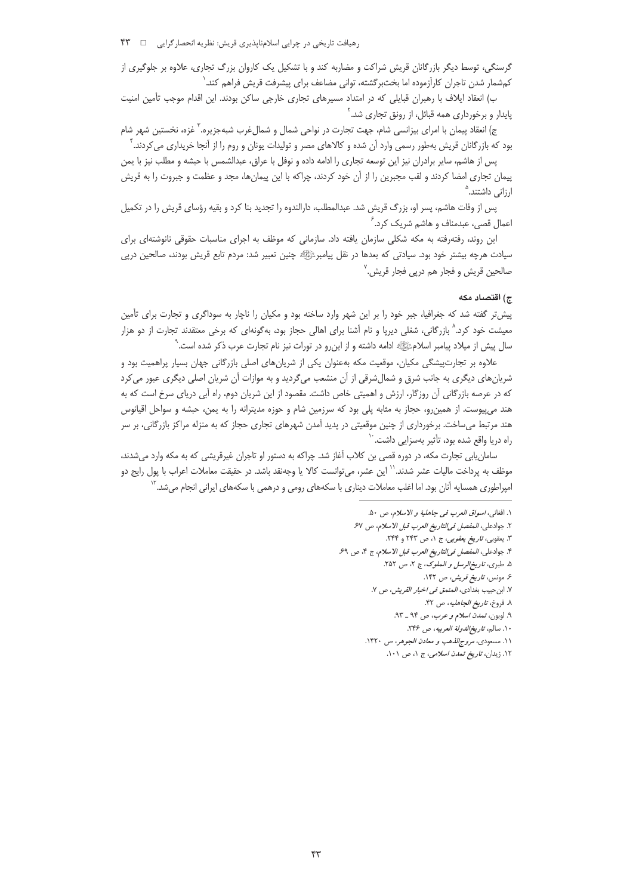رهیافت تاریخی در چرایی اسلامناپذیری قریش: نظریه انحصار گرایی \_ N \*\*

گرسنگی، توسط دیگر بازرگانان قریش شراکت و مضاربه کند و با تشکیل یک کاروان بزرگ تجاری، علاوه بر جلوگیری از كمشمار شدن تاجران كارآزموده اما بختبرگشته، توانى مضاعف براى پيشرفت قريش فراهم كند.

ب) انعقاد ایلاف با رهبران قبایلی که در امتداد مسیرهای تجاری خارجی ساکن بودند. این اقدام موجب تأمین امنیت پایدار و برخورداری همه قبائل، از رونق تجاری شد.<sup>۲</sup>

ج) انعقاد پیمان با امرای بیزانسی شام، جهت تجارت در نواحی شمال و شمالغرب شبهجزیره. ٌ غزه، نخستین شهر شام بود که بازرگانان قریش بهطور رسمی وارد آن شده و کالاهای مصر و تولیدات یونان و روم را از آنجا خریداری می کردند. ٔ

پس از هاشم، سایر برادران نیز این توسعه تجاری را ادامه داده و نوفل با عراق، عبدالشمس با حبشه و مطلب نیز با یمن پیمان تجاری امضا کردند و لقب مجبرین را از آن خود کردند، چراکه با این پیمانها، مجد و عظمت و جبروت را به قریش ارزانی داشتند.<sup>۵</sup>

پس از وفات هاشم، پسر او، بزرگ قریش شد. عبدالمطلب، دارالندوه را تجدید بنا کرد و بقیه رؤسای قریش را در تکمیل اعمال قصی، عبدمناف و هاشم شریک کرد. ٔ

این روند، رفتهرفته به مکه شکلی سازمان یافته داد. سازمانی که موظف به اجرای مناسبات حقوقی نانوشتهای برای سیادت هرچه بیشتر خود بود. سیادتی که بعدها در نقل پیامبرﷺ چنین تعبیر شد: مردم تابع قریش بودند، صالحین درپی صالحین قریش و فجار هم درپی فجار قریش. ٔ

#### ج) اقتصاد مكه

پیشتر گفته شد که جغرافیا، جبر خود را بر این شهر وارد ساخته بود و مکیان را ناچار به سوداگری و تجارت برای تأمین معیشت خود کرد.<sup>۸</sup> بازرگانی، شغلی دیرپا و نام آشنا برای اهالی حجاز بود، بهگونهای که برخی معتقدند تجارت از دو هزار سال پیش از میلاد پیامبر اسلامﷺ ادامه داشته و از این٫رو در تورات نیز نام تجارت عرب ذکر شده است. ْ

علاوه بر تجارتییشگی مکیان، موقعیت مکه بهعنوان یکی از شریانهای اصلی بازرگانی جهان بسیار پراهمیت بود و شریانهای دیگری به جانب شرق و شمال شرقی از آن منشعب میگردید و به موازات آن شریان اصلی دیگری عبور می کرد که در عرصه بازرگانی آن روزگار، ارزش و اهمیتی خاص داشت. مقصود از این شریان دوم، راه آبی دریای سرخ است که به هند میپیوست. از همین رو، حجاز به مثابه پلی بود که سرزمین شام و حوزه مدیترانه را به یمن، حبشه و سواحل اقیانوس هند مرتبط میساخت. برخورداری از چنین موقعیتی در پدید آمدن شهرهای تجاری حجاز که به منزله مراکز بازرگانی، بر سر راه دریا واقع شده بود، تأثیر بهسزایی داشت. ٔ

سامان یابی تجارت مکه، در دوره قصی بن کلاب آغاز شد. چراکه به دستور او تاجران غیرقریشی که به مکه وارد میشدند، موظف به پرداخت مالیات عشر شدند.<sup>۱٬</sup> این عشر، می¤وانست کالا یا وجهنقد باشد. در حقیقت معاملات اعراب با پول رایج دو امپراطوری همسایه آنان بود. اما اغلب معاملات دیناری با سکههای رومی و درهمی با سکههای ایرانی انجام میشد. ٔ

۱۲. زیدان، *تاریخ تمدن اسلامی*، ج ۱، ص ۱۰۱.

١. افغاني، *اسواق العرب في جاهلية و الاسلام*، ص ۵۰.

٢. جوادعلى، *المفصل فى التاريخ العرب قبل الاسلام*، ص ۶۷.

۳. یعقوبی، *تاریخ یعقوبی*، ج ۱، ص ۲۴۳ و ۲۴۴.

۴. جوادعلي، *المفصل في التاريخ العرب قبل الاسلام*، ج ۴، ص ۶۹. ۵. طبري، تاريخ الرسل و الملوک، ج ٢، ص ٢٥٢.

۶. مونس، ت*اریخ قریش، ص* ۱۴۲.

٧. ابن حبيب بغدادي، *المنمق في اخبار القريش، ص* ٧.

٨. فروخ، ت*اريخ الجاهليه*، ص ۴۲.

٩. لوبون، تمدن اسلام و عرب، ص ٩٤ \_ ٩٣.

١٠. سالم، ت*اريخ الدولة العربيه*، ص ٢۴۶.

١١. مسعودي، *مروج الذهب و معادن الجوهر*، ص ١۴٢٠.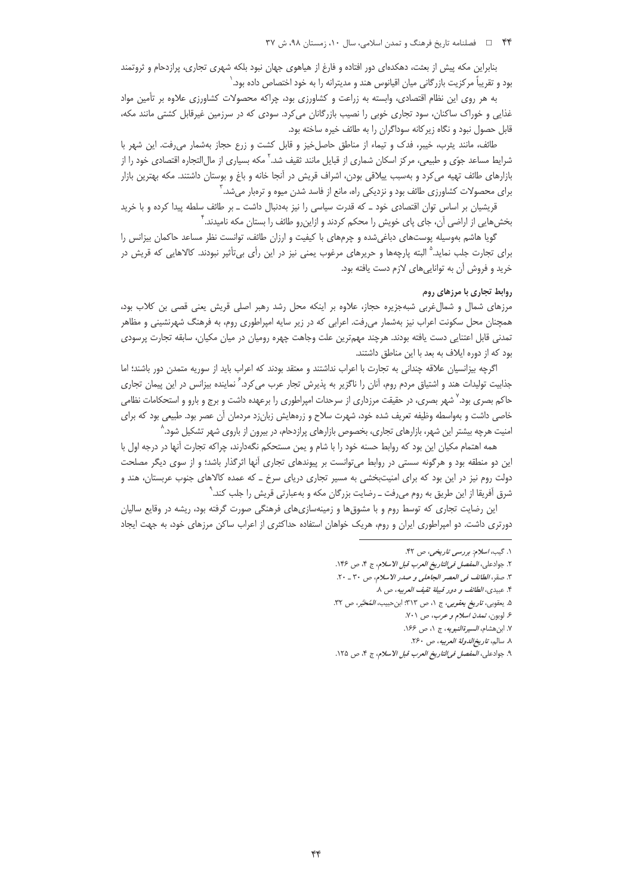بنابراین مکه پیش از بعثت، دهکدمای دور افتاده و فارغ از هیاهوی جهان نبود بلکه شهری تجاری، پرازدحام و ثروتمند بود و تقریباً مرکزیت بازرگانی میان اقیانوس هند و مدیترانه را به خود اختصاص داده بود.'

به هر روی این نظام اقتصادی، وابسته به زراعت و کشاورزی بود، چراکه محصولات کشاورزی علاوه بر تأمین مواد غذایی و خوراک ساکنان، سود تجاری خوبی را نصیب بازرگانان می کرد. سودی که در سرزمین غیرقابل کشتی مانند مکه، قابل حصول نبود و نگاه زیرکانه سوداگران را به طائف خیره ساخته بود.

طائف، مانند یثرب، خیبر، فدک و تیماء از مناطق حاصلخیز و قابل کشت و زرع حجاز بهشمار می رفت. این شهر با شرایط مساعد جوّی و طبیعی، مرکز اسکان شماری از قبایل مانند ثقیف شد.<sup>۲</sup> مکه بسیاری از مالالتجاره اقتصادی خود را از بازارهای طائف تهیه می کرد و بهسبب ییلاقی بودن، اشراف قریش در آنجا خانه و باغ و بوستان داشتند. مکه بهترین بازار برای محصولات کشاورزی طائف بود و نزدیکی راه، مانع از فاسد شدن میوه و ترهبار میشد. ٔ

قریشیان بر اساس توان اقتصادی خود ـ که قدرت سیاسی را نیز بهدنبال داشت ـ بر طائف سلطه پیدا کرده و با خرید بخشهایی از اراضی آن، جای پای خویش را محکم کردند و ازاین٫و طائف را بستان مکه نامیدند. <sup>۲</sup>

گویا هاشم بهوسیله پوستهای دباغیشده و چرمهای با کیفیت و ارزان طائف، توانست نظر مساعد حاکمان بیزانس را برای تجارت جلب نماید.<sup>۵</sup> البته پارچهها و حریرهای مرغوب یمنی نیز در این رأی بیتأثیر نبودند. کالاهایی که قریش در خريد و فروش آن به توانايي هاي لازم دست يافته بود.

#### روابط تجاری با مرزهای روم

مرزهای شمال و شمال غربی شبهجزیره حجاز، علاوه بر اینکه محل رشد رهبر اصلی قریش یعنی قصی بن کلاب بود، همچنان محل سکونت اعراب نیز بهشمار میرفت. اعرابی که در زیر سایه امپراطوری روم، به فرهنگ شهرنشینی و مظاهر تمدنی قابل اعتنایی دست یافته بودند. هرچند مهمترین علت وجاهت چهره رومیان در میان مکیان، سابقه تجارت پرسودی بود که از دوره ایلاف به بعد با این مناطق داشتند.

اگرچه بیزانسیان علاقه چندانی به تجارت با اعراب نداشتند و معتقد بودند که اعراب باید از سوریه متمدن دور باشند؛ اما جذابیت تولیدات هند و اشتیاق مردم روم، آنان را ناگزیر به پذیرش تجار عرب می¢رد. ً نماینده بیزانس در این پیمان تجاری حاکم بصری بود.<sup>۷</sup> شهر بصری، در حقیقت مرزداری از سرحدات امپراطوری را برعهده داشت و برج و بارو و استحکامات نظامی خاصی داشت و بهواسطه وظیفه تعریف شده خود، شهرت سلاح و زرههایش زبانزد مردمان آن عصر بود. طبیعی بود که برای امنیت هرچه بیشتر این شهر، بازارهای تجاری، بخصوص بازارهای پرازدحام، در بیرون از باروی شهر تشکیل شود.^

همه اهتمام مکیان این بود که روابط حسنه خود را با شام و یمن مستحکم نگهدارند، چراکه تجارت آنها در درجه اول با این دو منطقه بود و هرگونه سستی در روابط می¤وانست بر پیوندهای تجاری آنها اثرگذار باشد؛ و از سوی دیگر مصلحت دولت روم نیز در این بود که برای امنیتبخشی به مسیر تجاری دریای سرخ ـ که عمده کالاهای جنوب عربستان، هند و شرق آفریقا از این طریق به روم میرفت ــ رضایت بزرگان مکه و بهعبارتی قریش را جلب کند. ْ

این رضایت تجاری که توسط روم و با مشوق ها و زمینهسازی های فرهنگی صورت گرفته بود، ریشه در وقایع سالیان دورتری داشت. دو امپراطوری ایران و روم، هریک خواهان استفاده حداکثری از اعراب ساکن مرزهای خود، به جهت ایجاد

١. گیب، اسلام: بررسی تاریخی، ص ۴۲.

٢. جوادعلى، المفصل في التاريخ العرب قبل الاسلام، ج ٤، ص ١٤۶.

٣. صقر، الطائف في العصر الجاهلي و صدر الاسلام، ص ٣٠ \_ ٢٠.

۴. عبيدي، الطائف و دور قبيلة ثقيف العربيه، ص ٨.

۵. يعقوبي، *تاريخ يعقوبي*، ج ١، ص ٣١٣: ابن *حبيب، المُحَبَّر،* ص ٣٢.

۶. لوبون، تمدن اسلام و عرب، ص ٧٠١. ٧. ابن هشام، *السيرة النبويه*، ج ١، ص ١۶۶.

٨. سالم، ت*اريخ الدولة العربيه*، ص ٢۶٠.

۹. جوادعلى، *المفصل فى التاريخ العرب قبل الاسلام*، ج ۴، ص ۱۲۵.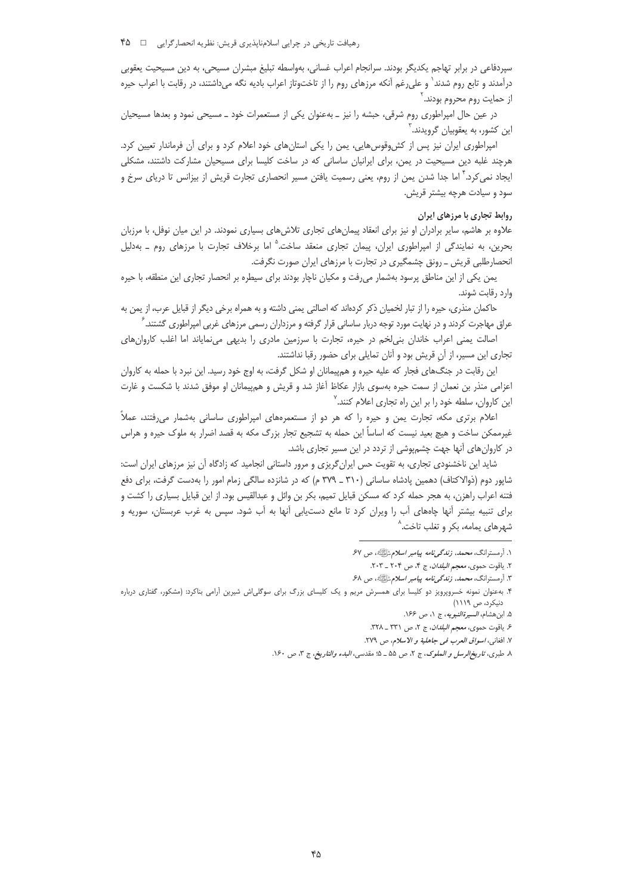رهیافت تاریخی در چرایی اسلامناپذیری قریش: نظریه انحصارگرایی □ ۴۵

سپردفاعی در برابر تهاجم یکدیگر بودند. سرانجام اعراب غسانی، بهواسطه تبلیغ مبشران مسیحی، به دین مسیحیت یعقوبی درآمدند و تابع روم شدند` و علیرغم آنکه مرزهای روم را از تاختوتاز اعراب بادیه نگه میداشتند، در رقابت با اعراب حیره از حمايت روم محروم بودند.<sup>۲</sup>

در عین حال امپراطوری روم شرقی، حبشه را نیز ـ بهعنوان یکی از مستعمرات خود ـ مسیحی نمود و بعدها مسیحیان این کشور، به یعقوبیان گرویدند.

امیراطوری ایران نیز پس از کش وقوس هایی، یمن را یکی استان های خود اعلام کرد و برای آن فرماندار تعیین کرد. هرچند غلبه دین مسیحیت در یمن، برای ایرانیان ساسانی که در ساخت کلیسا برای مسیحیان مشارکت داشتند، مشکلی ایجاد نمی کرد.<sup>۲</sup> اما جدا شدن یمن از روم، یعنی رسمیت یافتن مسیر انحصاری تجارت قریش از بیزانس تا دریای سرخ و سود و سیادت هرچه بیشتر قریش.

# روابط تجاری با مرزهای ایران

علاوه بر هاشم، سایر برادران او نیز برای انعقاد پیمانهای تجاری تلاشهای بسیاری نمودند. در این میان نوفل، با مرزبان بحرین، به نمایندگی از امپراطوری ایران، پیمان تجاری منعقد ساخت.<sup>۵</sup> اما برخلاف تجارت با مرزهای روم \_ بهدلیل انحصارطلبی قریش ـ رونق چشمگیری در تجارت با مرزهای ایران صورت نگرفت.

یمن یکی از این مناطق پرسود بهشمار می رفت و مکیان ناچار بودند برای سیطره بر انحصار تجاری این منطقه، با حیره وارد رقابت شوند.

حاکمان منذری، حیره را از تبار لخمیان ذکر کردهاند که اصالتی یمنی داشته و به همراه برخی دیگر از قبایل عرب، از یمن به عراق مهاجرت کردند و در نهایت مورد توجه دربار ساسانی قرار گرفته و مرزداران رسمی مرزهای غربی امپراطوری گشتند. <sup>⁄</sup>

اصالت یمنی اعراب خاندان بنی لخم در حیره، تجارت با سرزمین مادری را بدیهی می نمایاند اما اغلب کاروان های تجاری این مسیر، از آن قریش بود و آنان تمایلی برای حضور رقبا نداشتند.

این رقابت در جنگ های فجار که علیه حیره و هم پیمانان او شکل گرفت، به اوج خود رسید. این نبرد با حمله به کاروان اعزامی منذر بن نعمان از سمت حیره بهسوی بازار عکاظ آغاز شد و قریش و هم پیمانان او موفق شدند با شکست و غارت این کاروان، سلطه خود را بر این راه تجاری اعلام کنند.<sup>۷</sup>

اعلام برتری مکه، تجارت یمن و حیره را که هر دو از مستعمرههای امپراطوری ساسانی بهشمار می رفتند، عملاً غیرممکن ساخت و هیچ بعید نیست که اساساً این حمله به تشجیع تجار بزرگ مکه به قصد اضرار به ملوک حیره و هراس در کاروانهای آنها جهت چشمپوشی از تردد در این مسیر تجاری باشد.

شاید این ناخشنودی تجاری، به تقویت حس ایران گریزی و مرور داستانی انجامید که زادگاه آن نیز مرزهای ایران است: شاپور دوم (ذوالاکتاف) دهمین پادشاه ساسانی (۳۱۰ ــ ۳۷۹ م) که در شانزده سالگی زمام امور را بهدست گرفت، برای دفع فتنه اعراب راهزن، به هجر حمله کرد که مسکن قبایل تمیم، بکر بن وائل و عبدالقیس بود. از این قبایل بسیاری را کشت و برای تنبیه بیشتر آنها چاههای آب را ویران کرد تا مانع دستیابی آنها به آب شود. سپس به غرب عربستان، سوریه و شهرهای یمامه، بکر و تغلب تاخت.<sup>^</sup>

۱. أرمسترانگ، *محمد، زندگی نامه بیامبر اسلام تأیلیه، ص ۶*۷

٢. ياقوت حموى، معجم *البلدان*، ج ۴، ص ٢٠٢ \_ ٢٠٣.

۳. آرمسترانگ، *محمد، زندگیiامه پیامبر اسلام تکیلیه*، ص ۶۸

۴. بهعنوان نمونه خسروپرویز دو کلیسا برای همسرش مریم و یک کلیسای بزرگ برای سوگلی|ش شیرین آرامی بناکرد: (مشکور، گفتاری درباره دنیکرد، ص ۱۱۱۹)

۵. ابن هشام، *السيرةالنبويه*، ج ١، ص ١۶۶.

۶. ياقوت حموي، *معجم البلدان*، ج ٢، ص ٣٣١ ـ ٣٢٨.

٧. افغاني، *اسواق العرب في جاهلية و الاسلام*، ص ٢٧٩.

٨. طبرى، تاري*خ الرسل و الملوك*، ج ٢، ص ۵۵ ـ ۵؛ مقدسى، *البدء والتاريخ*، ج ٣، ص ١۶٠.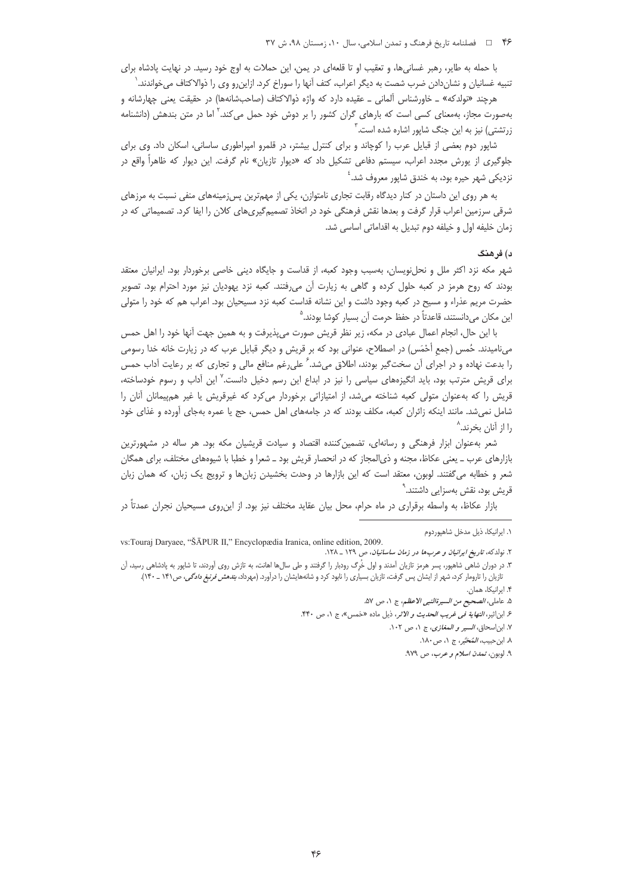با حمله به طایر، رهبر غسانیها، و تعقیب او تا قلعهای در یمن، این حملات به اوج خود رسید. در نهایت پادشاه برای تنبیه غسانیان و نشاندادن ضرب شصت به دیگر اعراب، کتف آنها را سوراخ کرد. ازاینررو وی را ذوالاکتاف میخواندند. ٰ

هرچند «نولدکه» \_ خاورشناس آلمانی \_ عقیده دارد که واژه ذوالاکتاف (صاحبشانهها) در حقیقت یعنی چهارشانه و بهصورت مجاز، بهمعنای کسی است که بارهای گران کشور را بر دوش خود حمل میکند.<sup>۲</sup> اما در متن بندهش (دانشنامه زرتشتی) نیز به این جنگ شاپور اشاره شده است.<sup>۲</sup>

شاپور دوم بعضی از قبایل عرب را کوچاند و برای کنترل بیشتر، در قلمرو امپراطوری ساسانی، اسکان داد. وی برای جلوگیری از یورش مجدد اعراب، سیستم دفاعی تشکیل داد که «دیوار تازیان» نام گرفت. این دیوار که ظاهراً واقع در نزدیکی شهر حیره بود، به خندق شاپور معروف شد.<sup>؛</sup>

به هر روی این داستان در کنار دیدگاه رقابت تجاری نامتوازن، یکی از مهمترین پس زمینههای منفی نسبت به مرزهای شرقی سرزمین اعراب قرار گرفت و بعدها نقش فرهنگی خود در اتخاذ تصمیمگیریهای کلان را ایفا کرد. تصمیماتی که در زمان خليفه اول و خيلفه دوم تبديل به اقداماتي اساسي شد.

#### د) فر هنگ

شهر مکه نزد اکثر ملل و نحلنویسان، بهسبب وجود کعبه، از قداست و جایگاه دینی خاصی برخوردار بود. ایرانیان معتقد بودند که روح هرمز در کعبه حلول کرده و گاهی به زیارت آن می فتند. کعبه نزد یهودیان نیز مورد احترام بود. تصویر حضرت مریم عذراء و مسیح در کعبه وجود داشت و این نشانه قداست کعبه نزد مسیحیان بود. اعراب هم که خود را متولی این مکان میدانستند، قاعدتاً در حفظ حرمت آن بسیار کوشا بودند.<sup>۵</sup>

با این حال، انجام اعمال عبادی در مکه، زیر نظر قریش صورت میپذیرفت و به همین جهت آنها خود را اهل حمس میiامیدند. حُمس (جمع أَحْمَس) در اصطلاح، عنوانی بود که بر قریش و دیگر قبایل عرب که در زیارت خانه خدا رسومی را بدعت نهاده و در اجرای آن سختگیر بودند، اطلاق میشد. ً علیرغم منافع مالی و تجاری که بر رعایت اَداب حمس برای قریش مترتب بود، باید انگیزههای سیاسی را نیز در ابداع این رسم دخیل دانست.<sup>۷</sup> این آداب و رسوم خودساخته، قریش را که بهعنوان متولی کعبه شناخته می شد، از امتیازاتی برخوردار می کرد که غیرقریش یا غیر هم پیمانان آنان را شامل نمیشد. مانند اینکه زائران کعبه، مکلف بودند که در جامههای اهل حمس، حج یا عمره بهجای آورده و غذای خود را از آنان بخرند.<sup>^</sup>

شعر بهعنوان ابزار فرهنگی و رسانهای، تضمین کننده اقتصاد و سیادت قریشیان مکه بود. هر ساله در مشهورترین بازارهای عرب ـ یعنی عکاظ، مجنه و ذیالمجاز که در انحصار قریش بود ـ شعرا و خطبا با شیوههای مختلف، برای همگان شعر و خطابه میگفتند. لوبون، معتقد است که این بازارها در وحدت بخشیدن زبانها و ترویج یک زبان، که همان زبان قریش بود، نقش بهسزایی داشتند.<sup>۹</sup>

بازار عکاظ، به واسطه برقراری در ماه حرام، محل بیان عقاید مختلف نیز بود. از این,روی مسیحیان نجران عمدتاً در

۰۱ ایرانیکا، ذیل مدخل شاهپوردوم

vs:Touraj Daryaee, "ŠĀPUR II," Encyclopædia Iranica, online edition, 2009. ۲. نولدکه، ت*اریخ ایرانیان و عربها در زمان ساسانیان*، ص ۱۲۹ \_ ۱۲۸.

۳. در دوران شاهی شاهپور، پسر هرمز تازیان آمدند و اول خُرگ رودبار را گرفتند و طی سال۱ه اهانت، به تازش روی آوردند، تا شاپور به پادشاهی رسید، آن تازیان را تارومار کرد، شهر از ایشان پس گرفت، تازیان بسیاری را نابود کرد و شانههایشان را درآورد. (مهرداد، *بندهش فرنبغ دادگی*، ص۱۴۱ ـ ۱۴۰). ۴. ایرانیکا، همان.

٥. عاملي، *الصحيح من السيرةالنبي الاعظم*، ج ١، ص ٥٧.

ع ابن|ثير، *النهاية في غريب الحديث و الأثر*، ذيل ماده «حَمس»، ج ١، ص ۴۴٠.

٧. ابن اسحاق، السير و المغازى، ج ١، ص ١٠٢.

٨. ابن حبيب، *المُحَبَّر،* ج ١، ص١٨٠.

۹. لوبو*ن، تمدن اسلام و عرب، ص* ۹۷۹.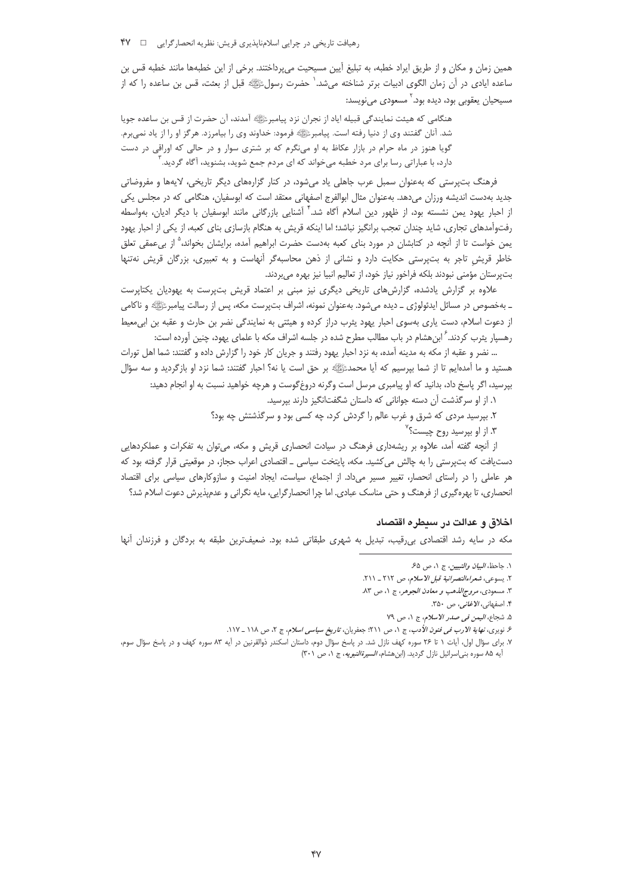همین زمان و مکان و از طریق ایراد خطبه، به تبلیغ آیین مسیحیت می پرداختند. برخی از این خطبهها مانند خطبه قس بن ساعده ایادی در آن زمان الگوی ادبیات برتر شناخته میشد. ٰ حضرت رسولﷺ قبل از بعثت، قس بن ساعده را که از مسيحيان يعقوبي بود، ديده بود. ` مسعودي مينويسد:

هنگامی که هیئت نمایندگی قبیله ایاد از نجران نزد پیامبرﷺ آمدند، آن حضرت از قس بن ساعده جویا شد. آنان گفتند وي از دنيا رفته است. پيامبرﷺ فرمود: خداوند وي را بيامرزد. هرگز او را از ياد نميبرم. گویا هنوز در ماه حرام در بازار عکاظ به او مینگرم که بر شتری سوار و در حالی که اوراقی در دست دارد، با عباراتی رسا برای مرد خطبه میخواند که ای مردم جمع شوید، بشنوید، آگاه گردید.

فرهنگ پټوستي که پهعنوان سمبل عرب حاهلي باد مرشود، در کنار گزارههاي ديگر تاريخي، لايهها و مفروضاتي جدید بهدست اندیشه ورزان میدهد. بهعنوان مثال ابوالفرج اصفهانی معتقد است که ابوسفیان، هنگامی که در مجلس یکی از احبار یهود یمن نشسته بود، از ظهور دین اسلام آگاه شد.<sup>۳</sup> آشنایی بازرگانی مانند ابوسفیان با دیگر ادیان، بهواسطه رفتوآمدهای تجاری، شاید چندان تعجب برانگیز نباشد؛ اما اینکه قریش به هنگام بازسازی بنای کعبه، از یکی از احبار یهود یمن خواست تا از آنچه در کتابشان در مورد بنای کعبه بهدست حضرت ابراهیم آمده، برایشان بخواند،<sup>۵</sup> از بیءمقی تعلق خاطر قریش تاجر به بتپرستی حکایت دارد و نشانی از ذهن محاسبهگر آنهاست و به تعبیری، بزرگان قریش نهتنها بت پرستان مؤمنی نبودند بلکه فراخور نیاز خود، از تعالیم انبیا نیز بهره میبردند.

علاوه بر گزارش یادشده، گزارشهای تاریخی دیگری نیز مبنی بر اعتماد قریش بتپرست به یهودیان یکتاپرست ـ بهخصوص در مسائل ایدئولوژی ــ دیده میشود. بهعنوان نمونه، اشراف بتپرست مکه، پس از رسالت پیامبرﷺ» و ناکامی از دعوت اسلام، دست یاری بهسوی احبار یهود پثرب دراز کرده و هیئتی به نمایندگی نضر بن حارث و عقبه بن ابی معیط رهسپار پثرب کردند. ً ابن هشام در باب مطالب مطرح شده در جلسه اشراف مکه با علمای یهود، چنین آورده است:

… نضر و عقبه از مکه به مدینه آمده، به نزد احبار یهود رفتند و جریان کار خود را گزارش داده و گفتند: شما اهل تورات هستید و ما آمدهایم تا از شما بپرسیم که آیا محمدﷺ بر حق است یا نه؟ احبار گفتند: شما نزد او بازگردید و سه سؤال بپرسید، اگر پاسخ داد، بدانید که او پیامبری مرسل است وگرنه دروغ\$وست و هرچه خواهید نسبت به او انجام دهید:

١. از او سرگذشت آن دسته جوانانی که داستان شگفتانگیز دارند بپرسید.

٢. بپرسید مردی که شرق و غرب عالم را گردش کرد، چه کسی بود و سرگذشتش چه بود؟

۳. از او بپرسید روح چیست؟<sup>۷</sup>

از آنچه گفته آمد، علاوه بر ریشهداری فرهنگ در سیادت انحصاری قریش و مکه، میتوان به تفکرات و عملکردهایی دستیافت که بتپرستی را به چالش می کشید. مکه، پایتخت سیاسی \_ اقتصادی اعراب حجاز، در موقعیتی قرار گرفته بود که هر عاملی را در راستای انحصار، تغییر مسیر میداد. از اجتماع، سیاست، ایجاد امنیت و سازوکارهای سیاسی برای اقتصاد انحصاری، تا بهرهگیری از فرهنگ و حتی مناسک عبادی. اما چرا انحصارگرایی، مایه نگرانی و عدمپذیرش دعوت اسلام شد؟

#### اخلاق و عدالت در سیطره اقتصاد

مکه در سایه رشد اقتصادی بی قیب، تبدیل به شهری طبقاتی شده بود. ضعیفترین طبقه به بردگان و فرزندان آنها

٠. جاحظ، *البيان والتبيين*، ج ٠، ص ۶۵.

٢. يسوعي، شعر اءالنصر انية قبل الاسلام، ص ٢١٢ ـ ٢١١.

٣. مسعودي، *مروج الذهب و معادن الجوهر*، ج ١، ص ٨٣.

۴. اصفهانی، *الاغانی*، ص ۳۵۰.

۵. شجاع، *اليمن في صدر الاسلام*، ج ١، ص ٧٩

ع نویری، *نهایة الارب فی فنون الأدب*، ج ۱، ص ۲۱۱؛ جعفریان، *تاریخ سیاسی اسلام*، ج ۲، ص ۱۱۸ \_ ۱۱۷.

٧. برای سؤال اول، آیات ١ تا ٢۶ سوره کهف نازل شد. در پاسخ سؤال دوم، داستان اسکندر ذوالقرنین در آیه ٨٣ سوره کهف و در پاسخ سؤال سوم، أيه ٨۵ سوره بني|سرائيل نازل گرديد. (ابن هشام، *السيرةالنبويه*، ج ١، ص ٣٠١)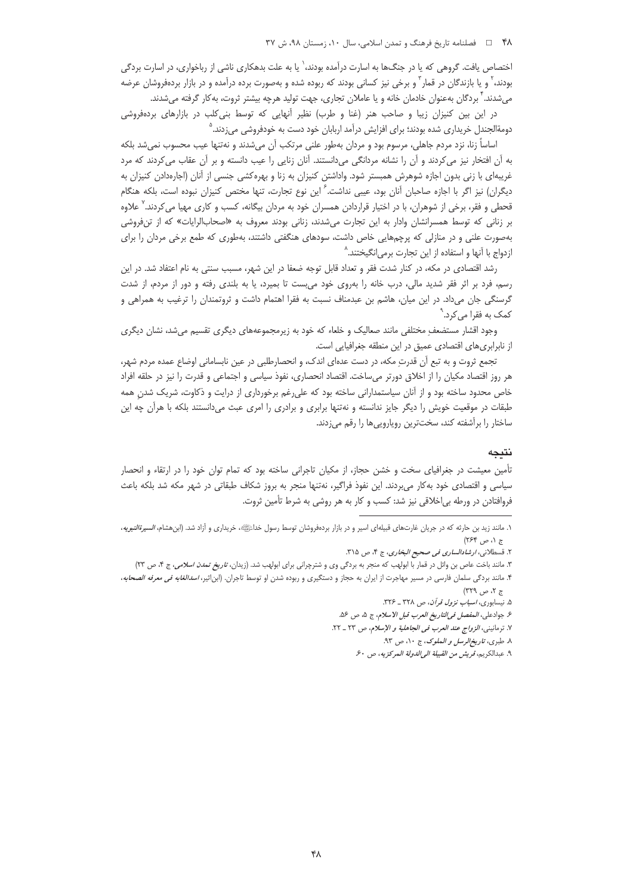اختصاص یافت. گروهی که یا در جنگها به اسارت درآمده بودند،<sup>\</sup> یا به علت بدهکاری ناشی از رباخواری، در اسارت بردگی بودند،<sup>۲</sup> و یا بازندگان در قمار<sup>۳</sup> و برخی نیز کسانی بودند که ربوده شده و بهصورت برده درآمده و در بازار بردهفروشان عرضه میشدند. ٔ بردگان بهعنوان خادمان خانه و یا عاملان تجاری، جهت تولید هرچه بیشتر ثروت، بهکار گرفته میشدند.

در این بین کنیزان زیبا و صاحب هنر (غنا و طرب) نظیر آنهایی که توسط بنی کلب در بازارهای بردهفروشی دومةالجندل خريداري شده بودند؛ براي افزايش درآمد اربابان خود دست به خودفروشي ميزدند. ْ

اساساً زنا، نزد مردم جاهلي، مرسوم بود و مردان بهطور علني مرتكب آن ميشدند و نهتنها عيب محسوب نميشد بلكه به آن افتخار نیز میکردند و آن را نشانه مردانگی میدانستند. آنان زنایی را عیب دانسته و بر آن عقاب میکردند که مرد غریبهای با زنی بدون اجازه شوهرش همبستر شود. واداشتن کنیزان به زنا و بهرهکشی جنسی از آنان (اجارهدادن کنیزان به دیگران) نیز اگر با اجازه صاحبان آنان بود، عیبی نداشت. $^2$  این نوع تجارت، تنها مختص کنیزان نبوده است، بلکه هنگام قحطی و فقر، برخی از شوهران، با در اختیار قراردادن همسران خود به مردان بیگانه، کسب و کاری مهیا میکردند.<sup>۷</sup> علاوه بر زنانی که توسط همسرانشان وادار به این تجارت میشدند، زنانی بودند معروف به «اصحابالرایات» که از تنفروشی بهصورت علنی و در منازلی که پرچمهایی خاص داشت، سودهای هنگفتی داشتند، بهطوری که طمع برخی مردان را برای ازدواج با آنها و استفاده از این تجارت برمی|نگیختند.^

رشد اقتصادی در مکه، در کنار شدت فقر و تعداد قابل توجه ضعفا در این شهر، مسبب سنتی به نام اعتفاد شد. در این رسم، فرد بر اثر فقر شدید مالی، درب خانه را بهروی خود می بست تا بمیرد، یا به بلندی رفته و دور از مردم، از شدت گرسنگی جان میداد. در این میان، هاشم بن عبدمناف نسبت به فقرا اهتمام داشت و ثروتمندان را ترغیب به همراهی و کمک به فقرا می کرد.`

وجود اقشار مستضعفِ مختلفی مانند صعالیک و خلعاء که خود به زیرمجموعههای دیگری تقسیم میشد، نشان دیگری از نابرابری های اقتصادی عمیق در این منطقه جغرافیایی است.

تجمع ثروت و به تبع اَن قدرتِ مكه، در دست عدهای اندک، و انحصارطلبی در عین نابسامانی اوضاع عمده مردم شهر، هر روز اقتصاد مکیان را از اخلاق دورتر میساخت. اقتصاد انحصاری، نفوذ سیاسی و اجتماعی و قدرت را نیز در حلقه افراد خاص محدود ساخته بود و از آنان سیاستمدارانی ساخته بود که علیرغم برخورداری از درایت و ذکاوت، شریک شدن همه طبقات در موقعیت خویش را دیگر جایز ندانسته و نهتنها برابری و برادری را امری عبث میدانستند بلکه با هرآن چه این ساختار را برآشفته كند، سختترين رويارويي ها را رقم مىزدند.

# نتيجه

تأمین معیشت در جغرافیای سخت و خشن حجاز، از مکیان تاجرانی ساخته بود که تمام توان خود را در ارتقاء و انحصار سیاسی و اقتصادی خود به کار میبردند. این نفوذ فراگیر، نهتنها منجر به بروز شکاف طبقاتی در شهر مکه شد بلکه باعث فروافتادن در ورطه بی|خلاقی نیز شد: کسب و کار به هر روشی به شرط تأمین ثروت.

۱. مانند زید بن حارثه که در جریان غارتهای قبیلهای اسیر و در بازار بردهفروشان توسط رسول خدائلگه، خریداری و آزاد شد. (ابن هشام، *السیرةالنبویه*،  $(754, 91)$ 

٢. قسطلاني، *ارشادالساري في صحيح البخاري*، ج ۴، ص ٣١٥.

۳. مانند باخت عاص بن وائل در قمار با ابولهب که منجر به بردگی وی و شترچرانی برای ابولهب شد. (زیدان، *تاریخ تمدن اسلامی*، ج ۴، ص ۲۳)

۴. مانند بردگی سلمان فارسی در مسیر مهاجرت از ایران به حجاز و دستگیری و ربوده شدن او توسط تاجران. (ابن|ثیر، *اسدالغابه فی معرفه الصحابه*،  $57.9$   $\rightarrow$  779)

۵. نیسابوری، *اسباب نزول قرآن، ص ۳۲۸ ـ ۳۲۶*.

ع. جوادعلى، *المفصل في التاريخ العرب قبل الاسلام*، ج ٥، ص ٥۶.

٧. ترمانيني، *الزواج عند العرب في الجاهلية و الإسلام*، ص ٢٣ ـ ٢٢.

٨. طبري، تاريخ الرسل و الملوك، ج ١٠، ص ٩٣.

٩. عبدالكريم، قريش من القبيلة الى الدولة المركزيه، ص ۶۰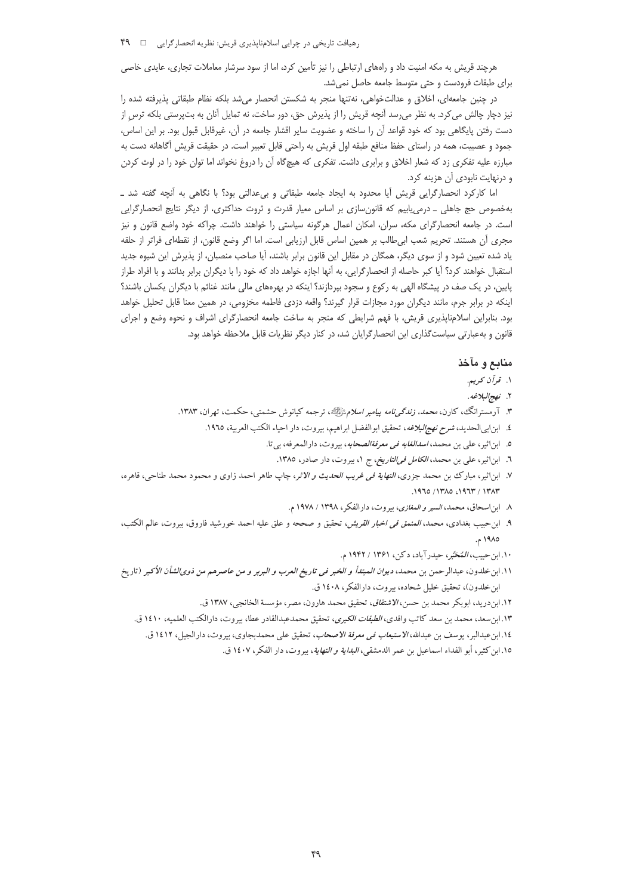رهیافت تاریخی در چرایی اسلامناپذیری قریش: نظریه انحصارگرایی □ ٩٩

هرچند قریش به مکه امنیت داد و راههای ارتباطی را نیز تأمین کرد، اما از سود سرشار معاملات تجاری، عایدی خاصی برای طبقات فرودست و حتی متوسط جامعه حاصل نمی شد.

در چنین جامعهای، اخلاق و عدالتخواهی، نهتنها منجر به شکستن انحصار میشد بلکه نظام طبقاتی پذیرفته شده را نیز دچار چالش می کرد. به نظر می٫سد آنچه قریش را از پذیرش حق، دور ساخت، نه تمایل آنان به بتپرستی بلکه ترس از دست رفتن پایگاهی بود که خود قواعد آن را ساخته و عضویت سایر اقشار جامعه در آن، غیرقابل قبول بود. بر این اساس، جمود و عصبيت، همه در راستاي حفظ منافع طبقه اول قريش به راحتي قابل تعبير است. در حقيقت قريش آگاهانه دست به مبارزه علیه تفکری زد که شعار اخلاق و برابری داشت. تفکری که هیچگاه آن را دروغ نخواند اما توان خود را در لوث کردن و درنهایت نابودی آن هزینه کرد.

اما کارکرد انحصارگرایی قریش آیا محدود به ایجاد جامعه طبقاتی و بی عدالتی بود؟ با نگاهی به آنچه گفته شد \_ بهخصوص حج جاهلی ـ درمیLابیم که قانونسازی بر اساس معیار قدرت و ثروت حداکثری، از دیگر نتایج انحصارگرایی است. در جامعه انحصارگرای مکه، سران، امکان اعمال هرگونه سیاستی را خواهند داشت. چراکه خود واضع قانون و نیز مجري أن هستند. تحريم شعب ابي طالب بر همين اساس قابل ارزيابي است. اما اگر وضع قانون، از نقطهاي فراتر از حلقه یاد شده تعیین شود و از سوی دیگر، همگان در مقابل این قانون برابر باشند، آیا صاحب منصبان، از پذیرش این شیوه جدید استقبال خواهند کرد؟ آیا کبر حاصله از انحصارگرایی، به آنها اجازه خواهد داد که خود را با دیگران برابر بدانند و با افراد طراز پایین، در یک صف در پیشگاه الهی به رکوع و سجود بپردازند؟ اینکه در بهرههای مالی مانند غنائم با دیگران یکسان باشند؟ اینکه در برابر جرم، مانند دیگران مورد مجازات قرار گیرند؟ واقعه دزدی فاطمه مخزومی، در همین معنا قابل تحلیل خواهد بود. بنابراین اسلامناپذیری قریش، با فهم شرایطی که منجر به ساخت جامعه انحصارگرای اشراف و نحوه وضع و اجرای قانون و به عبارتی سیاست گذاری این انحصار گرایان شد، در کنار دیگر نظریات قابل ملاحظه خواهد بود.

# منابع و مآخذ

- ۱. قرآن کریم.
- ٢. نهج البلاغه.
- ۳. آرمسترانگ، کارن، *محمد، زندگیiامه پیامبر اسلام*ﷺ، ترجمه کیانوش حشمتی، حکمت، تهران، ۱۳۸۳.
	- ٤. ابنابيالحديد، *شرح نهج البلاغه*، تحقيق ابوالفضل ابراهيم، بيروت، دار احياء الكتب العربية، ١٩٦٥.
		- ٥. ابن اثير، على بن محمد، *اسدالغابه في معرفةالصحابه*، بيروت، دارالمعرفه، بي تا.
			- ٦. ابن|ثیر، علی بن محمد، *الکامل فی|لتاریخ، ج* ١، بیروت، دار صادر، ١٣٨٥.
- ٧. ابناثير، مبارك بن محمد جزرى، *النهاية في غريب الحديث و الاثر*، چاپ طاهر احمد زاوى و محمود محمد طناحي، قاهره، ١٩٦٥/١٣٨٥، ١٩٦٥/ ١٣٨٣.
	- ٨ ابن اسحاق، محمد، *السير و المغازى*، بيروت، دارالفكر، ١٣٩٨ / ١٩٧٨م.
- ۹. ابن-حبيب بغدادى، محمد، *المنمق فى اخبار القريش*، تحقيق و صححه و علق عليه احمد خورشيد فاروق، بيروت، عالم الكتب، ١٩٨٥ م.
	- ١٠. ابن حبيب، المُحَتَّبر، حيدرآباد، دكن، ١٣۶١ / ١٩۴٢ م.
- ١١.ابن خلدون، عبدالرحمن بن محمد، دي*وان الم*بت*دأ و الخبر في تاريخ العرب و البربر و من عاصرهم من ذوىالشأن الأكبر* (تاريخ ابن خلدون)، تحقيق خليل شحاده، بيروت، دارالفكر، ١٤٠٨ ق.

١٢. ابن دريد، ابوبكر محمد بن حسن، *الاشتقاق*، تحقيق محمد هارون، مصر، مؤسسة الخانجي، ١٣٨٧ ق.

- ۱۳. ابن سعد، محمد بن سعد كاتب واقدى، *الطبقات الكبرى*، تحقيق محمدعبدالقادر عطا، بيروت، دارالكتب العلميه، ١٤١٠ ق.
	- ١٤.ابن عبدالبر، يوسف بن عبدالله، *الاستيعاب في معرفة الاصحاب*، تحقيق على محمدبجاوي، بيروت، دارالجيل، ١٤١٢ ق.
		- ١٥. ابن كثير، أبو الفداء اسماعيل بن عمر الدمشقى، *البداية و النهاية*، بيروت، دار الفكر، ١٤٠٧ ق.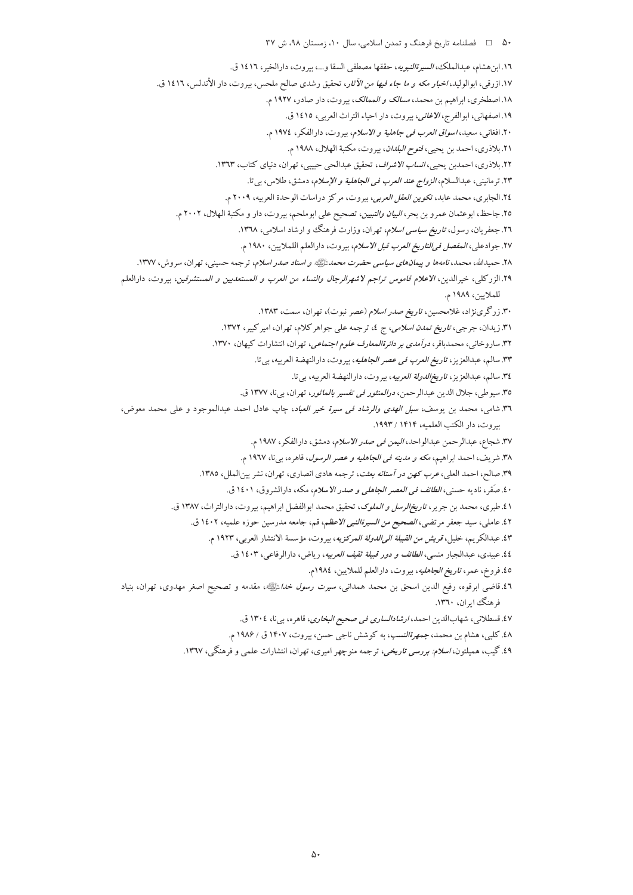۵۰ هـ المخامله تاريخ فرهنگ و تمدن اسلامي، سال ۱۰، زمستان ۹۸، ش ۳۷ ١٦. ابن هشام، عبدالملك، *السيرةالنبويه*، حققها مصطفى السقا و...، بيروت، دارالخير ، ١٤١٦ ق. ١٧. ازرقي، ابوالوليد، *اخبار مكه و ما جاء فيها من الآثار*، تحقيق رشدى صالح ملحس، بيروت، دار الأندلس، ١٤١٦ ق. ١٨. اصطخرى، ابراهيم بن محمد، *مسالك و الممالك*، بيروت، دار صادر، ١٩٢٧ م. ١٩. اصفهاني، ابوالفرج، الاغاني، بيروت، دار احياء التراث العربي، ١٤١٥ ق. ۲۰. افغانی، سعید، *اسواق العرب فی جاهلیة و الاسلام*، بیروت، دارالفکر، ۱۹۷٤ م. ٢١. بلاذري، احمد بن يحيى، *فتوح البلدان*، بيروت، مكتبة الهلال، ١٩٨٨ م.

٢٢. بلاذري، احمدبن يحيى، *انساب الاشراف*، تحقيق عبدالحي حبيبي، تهران، دنياي كتاب، ١٣٦٣.

٢٣. تر مانيني، عبدالسلام، *الزواج عند العرب في الجاهلية و الإسلام*، دمشق، طلاس، بي تا.

٢٤. الجابري، محمد عابد، تك*وين العقل العربي*، بيروت، مركز دراسات الوحدة العربيه، ٢٠٠٩ م.

٢٥. جاحظ، ابوعثمان عمرو بن بحر، *البيان والتبيين*، تصحيح على ابوملحم، بيروت، دار و مكتبة الهلال، ٢٠٠٢ م.

۲٦. جعفریان، رسول، *تاریخ سیاسی اسلام*، تهران، وزارت فرهنگ و ارشاد اسلامی، ۱۳٦۸.

٢٧. جوادعلي، *المفصل في التاريخ العرب قبل الاسلام*، بيروت، دارالعلم اللملايين، ١٩٨٠ م.

.<br>۲۸. حمیدالله، محمد، *نامهها و پیمانهای سیاسی حضرت محمدﷺ و اسناد صدر اسلام*، ترجمه حسینی، تهران، سروش، ۱۳۷۷.

٢٩.الزركلي، خيرالدين، *الاعلام قاموس تراجم لاشهرالرجال والنساء من العرب و المستعديين و المستشرقين*، بيروت، دارالعلم للملايين، ١٩٨٩ م.

۳۰. زرگرینژاد، غلامحسین، *تاریخ صدر اسلام (عصر نبوت)*، تهران، سمت، ۱۳۸۳.

۳۱. زیدان، جرجی، *تاریخ تمدن اسلامی*، ج ٤، ترجمه علی جواهر کلام، تهران، امیر کبیر، ۱۳۷۲.

۳۲. ساروخانی، محمدباقر، *درآمدی بر دائرةالمعارف علوم اجتماعی*، تهران، انتشارات کیهان، ۱۳۷۰.

٣٣. سالم، عبدالعزيز، ت*اريخ العرب في عصر الجاهليه*، بيروت، دارالنهضة العربيه، بي تا.

٣٤. سالم، عبدالعزيز، *تاريخالدولة العربيه*، بيروت، دارالنهضة العربيه، بيتا.

٣٥. سيوطى، جلال الدين عبدالرحمن، *درالمنثور في تفسير بالماثور*، تهران، بي نا، ١٣٧٧ ق.

۳٦. شامی، محمد بن یوسف، *سبل الهدی والرشاد فی سیرة خیر العباد*، چاپ عادل احمد عبدالموجود و علی محمد معوض، بيروت، دار الكتب العلميه، ١٤١٤ / ١٩٩٣.

٣٧. شجاع، عبدالرحمن عبدالواحد، *اليمن في صدر الاسلام*، دمشق، دارالفكر، ١٩٨٧ م.

۳۸. شريف، احمد ابراهيم، *مكه و مدينه في الجاهليه و عصر الرسول*، قاهره، بيiا، ۱۹٦۷ م.

۳۹. صالح، احمد العلي، *عرب كهن در آستانه بعثت*، ترجمه هادي انصاري، تهران، نشر بين الملل، ١٣٨٥.

٤٠. صَقر، ناديه حسني، *الطائف في العصر الجاهلي و صدر الاسلام*، مكه، دارالشروق، ١٤٠١ ق.

٤١.طبري، محمد بن جرير، *تاريخ الرسل و الملوك*، تحقيق محمد ابوالفضل ابراهيم، بيروت، دارالتراث، ١٣٨٧ ق.

٤٢. عاملي، سيد جعفر مرتضي، *الصحيح من السيرةالنبي الاعظ*م، قم، جامعه مدرسين حوزه علميه، ١٤٠٢ ق.

٤٣. عبدالكريم، خليل، *قريش من القبيلة الىالدولة المركزيه*، بيروت، مؤسسة الانتشار العربي، ١٩٢٣ م.

٤٤. عبيدي، عبدالجبار منسى، *الطائف و دور قبيلة ثقيف العربيه*، رياض، دارالرفاعي، ١٤٠٣ ق.

٤٥. فروخ، عمر، ت*اريخ الجاهليه*، بيروت، دارالعلم للملايين، ١٩٨٤م.

٤٦.قاضي ابرقوه، رفيع الدين اسحق بن محمد همدان<sub>ی</sub>، *سيرت رسول خدا*ءًلگ»، مقدمه و تصحيح اصغر مهدوی، تهران، بنياد فرهنگ اران، ۱۳٦۰.

٤٧. قسطلاني، شهابالدين احمد، *ارشادالساري في صحيح البخاري*، قاهره، بيiل ١٣٠٤ ق.

٤٨. كلبي، هشام بن محمد، جم*هرةالنسب*، به كوشش ناجي حسن، بيروت، ١۴٠٧ ق / ١٩٨۶ م.

٤٩. گیب، همیلتون، *اسلام: بررسی تاریخی*، ترجمه منوچهر امیری، تهران، انتشارات علمی و فرهنگی، ١٣٦٧.